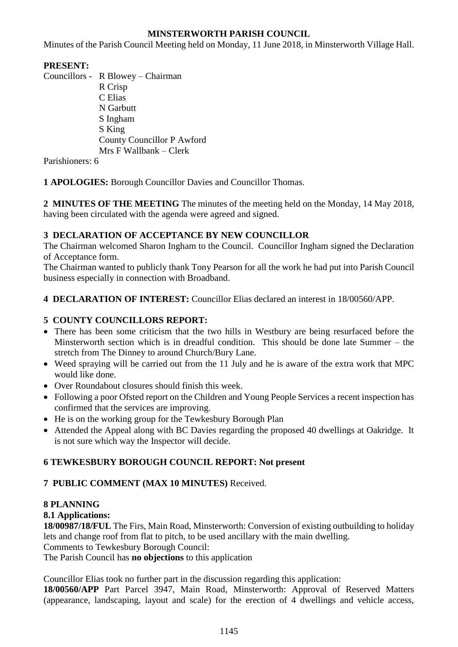## **MINSTERWORTH PARISH COUNCIL**

Minutes of the Parish Council Meeting held on Monday, 11 June 2018, in Minsterworth Village Hall.

## **PRESENT:**

Councillors - R Blowey – Chairman R Crisp C Elias N Garbutt S Ingham S King County Councillor P Awford Mrs F Wallbank – Clerk

Parishioners: 6

**1 APOLOGIES:** Borough Councillor Davies and Councillor Thomas.

**2 MINUTES OF THE MEETING** The minutes of the meeting held on the Monday, 14 May 2018, having been circulated with the agenda were agreed and signed.

## **3 DECLARATION OF ACCEPTANCE BY NEW COUNCILLOR**

The Chairman welcomed Sharon Ingham to the Council. Councillor Ingham signed the Declaration of Acceptance form.

The Chairman wanted to publicly thank Tony Pearson for all the work he had put into Parish Council business especially in connection with Broadband.

**4 DECLARATION OF INTEREST:** Councillor Elias declared an interest in 18/00560/APP.

# **5 COUNTY COUNCILLORS REPORT:**

- There has been some criticism that the two hills in Westbury are being resurfaced before the Minsterworth section which is in dreadful condition. This should be done late Summer – the stretch from The Dinney to around Church/Bury Lane.
- Weed spraying will be carried out from the 11 July and he is aware of the extra work that MPC would like done.
- Over Roundabout closures should finish this week.
- Following a poor Ofsted report on the Children and Young People Services a recent inspection has confirmed that the services are improving.
- He is on the working group for the Tewkesbury Borough Plan
- Attended the Appeal along with BC Davies regarding the proposed 40 dwellings at Oakridge. It is not sure which way the Inspector will decide.

## **6 TEWKESBURY BOROUGH COUNCIL REPORT: Not present**

#### **7 PUBLIC COMMENT (MAX 10 MINUTES)** Received.

# **8 PLANNING**

#### **8.1 Applications:**

**18/00987/18/FUL** The Firs, Main Road, Minsterworth: Conversion of existing outbuilding to holiday lets and change roof from flat to pitch, to be used ancillary with the main dwelling. Comments to Tewkesbury Borough Council:

The Parish Council has **no objections** to this application

Councillor Elias took no further part in the discussion regarding this application: **18/00560/APP** Part Parcel 3947, Main Road, Minsterworth: Approval of Reserved Matters (appearance, landscaping, layout and scale) for the erection of 4 dwellings and vehicle access,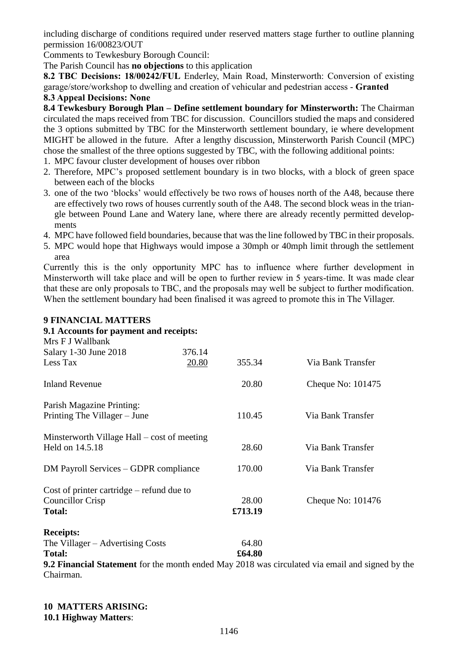including discharge of conditions required under reserved matters stage further to outline planning permission 16/00823/OUT

Comments to Tewkesbury Borough Council:

The Parish Council has **no objections** to this application

**8.2 TBC Decisions: 18/00242/FUL** Enderley, Main Road, Minsterworth: Conversion of existing garage/store/workshop to dwelling and creation of vehicular and pedestrian access - **Granted**

## **8.3 Appeal Decisions: None**

**8.4 Tewkesbury Borough Plan – Define settlement boundary for Minsterworth:** The Chairman circulated the maps received from TBC for discussion. Councillors studied the maps and considered the 3 options submitted by TBC for the Minsterworth settlement boundary, ie where development MIGHT be allowed in the future. After a lengthy discussion, Minsterworth Parish Council (MPC) chose the smallest of the three options suggested by TBC, with the following additional points:

- 1. MPC favour cluster development of houses over ribbon
- 2. Therefore, MPC's proposed settlement boundary is in two blocks, with a block of green space between each of the blocks
- 3. one of the two 'blocks' would effectively be two rows of houses north of the A48, because there are effectively two rows of houses currently south of the A48. The second block weas in the triangle between Pound Lane and Watery lane, where there are already recently permitted developments
- 4. MPC have followed field boundaries, because that was the line followed by TBC in their proposals.
- 5. MPC would hope that Highways would impose a 30mph or 40mph limit through the settlement area

Currently this is the only opportunity MPC has to influence where further development in Minsterworth will take place and will be open to further review in 5 years-time. It was made clear that these are only proposals to TBC, and the proposals may well be subject to further modification. When the settlement boundary had been finalised it was agreed to promote this in The Villager.

## **9 FINANCIAL MATTERS**

#### **9.1 Accounts for payment and receipts:**

| Mrs F J Wallbank                                                 |        |         |                                                                                                        |
|------------------------------------------------------------------|--------|---------|--------------------------------------------------------------------------------------------------------|
| Salary 1-30 June 2018                                            | 376.14 |         |                                                                                                        |
| Less Tax                                                         | 20.80  | 355.34  | Via Bank Transfer                                                                                      |
| <b>Inland Revenue</b>                                            |        | 20.80   | Cheque No: 101475                                                                                      |
| Parish Magazine Printing:<br>Printing The Villager – June        |        | 110.45  | Via Bank Transfer                                                                                      |
| Minsterworth Village Hall $-$ cost of meeting<br>Held on 14.5.18 |        | 28.60   | Via Bank Transfer                                                                                      |
| DM Payroll Services – GDPR compliance                            |        | 170.00  | Via Bank Transfer                                                                                      |
| Cost of printer cartridge $-$ refund due to                      |        |         |                                                                                                        |
| <b>Councillor Crisp</b>                                          |        | 28.00   | Cheque No: 101476                                                                                      |
| <b>Total:</b>                                                    |        | £713.19 |                                                                                                        |
| <b>Receipts:</b>                                                 |        |         |                                                                                                        |
| The Villager – Advertising Costs                                 |        | 64.80   |                                                                                                        |
| <b>Total:</b>                                                    |        | £64.80  |                                                                                                        |
|                                                                  |        |         | <b>9.2 Financial Statement</b> for the month ended May 2018 was circulated via email and signed by the |

Chairman.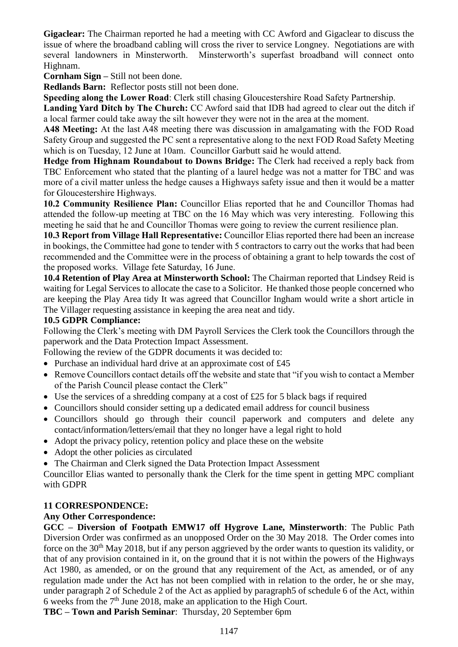**Gigaclear:** The Chairman reported he had a meeting with CC Awford and Gigaclear to discuss the issue of where the broadband cabling will cross the river to service Longney. Negotiations are with several landowners in Minsterworth. Minsterworth's superfast broadband will connect onto Highnam.

**Cornham Sign –** Still not been done.

**Redlands Barn:** Reflector posts still not been done.

**Speeding along the Lower Road**: Clerk still chasing Gloucestershire Road Safety Partnership.

**Landing Yard Ditch by The Church:** CC Awford said that IDB had agreed to clear out the ditch if a local farmer could take away the silt however they were not in the area at the moment.

**A48 Meeting:** At the last A48 meeting there was discussion in amalgamating with the FOD Road Safety Group and suggested the PC sent a representative along to the next FOD Road Safety Meeting which is on Tuesday, 12 June at 10am. Councillor Garbutt said he would attend.

**Hedge from Highnam Roundabout to Downs Bridge:** The Clerk had received a reply back from TBC Enforcement who stated that the planting of a laurel hedge was not a matter for TBC and was more of a civil matter unless the hedge causes a Highways safety issue and then it would be a matter for Gloucestershire Highways.

**10.2 Community Resilience Plan:** Councillor Elias reported that he and Councillor Thomas had attended the follow-up meeting at TBC on the 16 May which was very interesting. Following this meeting he said that he and Councillor Thomas were going to review the current resilience plan.

**10.3 Report from Village Hall Representative:** Councillor Elias reported there had been an increase in bookings, the Committee had gone to tender with 5 contractors to carry out the works that had been recommended and the Committee were in the process of obtaining a grant to help towards the cost of the proposed works. Village fete Saturday, 16 June.

**10.4 Retention of Play Area at Minsterworth School:** The Chairman reported that Lindsey Reid is waiting for Legal Services to allocate the case to a Solicitor. He thanked those people concerned who are keeping the Play Area tidy It was agreed that Councillor Ingham would write a short article in The Villager requesting assistance in keeping the area neat and tidy.

#### **10.5 GDPR Compliance:**

Following the Clerk's meeting with DM Payroll Services the Clerk took the Councillors through the paperwork and the Data Protection Impact Assessment.

Following the review of the GDPR documents it was decided to:

- Purchase an individual hard drive at an approximate cost of £45
- Remove Councillors contact details off the website and state that "if you wish to contact a Member of the Parish Council please contact the Clerk"
- Use the services of a shredding company at a cost of £25 for 5 black bags if required
- Councillors should consider setting up a dedicated email address for council business
- Councillors should go through their council paperwork and computers and delete any contact/information/letters/email that they no longer have a legal right to hold
- Adopt the privacy policy, retention policy and place these on the website
- Adopt the other policies as circulated
- The Chairman and Clerk signed the Data Protection Impact Assessment

Councillor Elias wanted to personally thank the Clerk for the time spent in getting MPC compliant with GDPR

#### **11 CORRESPONDENCE:**

#### **Any Other Correspondence:**

**GCC – Diversion of Footpath EMW17 off Hygrove Lane, Minsterworth**: The Public Path Diversion Order was confirmed as an unopposed Order on the 30 May 2018.The Order comes into force on the 30<sup>th</sup> May 2018, but if any person aggrieved by the order wants to question its validity, or that of any provision contained in it, on the ground that it is not within the powers of the Highways Act 1980, as amended, or on the ground that any requirement of the Act, as amended, or of any regulation made under the Act has not been complied with in relation to the order, he or she may, under paragraph 2 of Schedule 2 of the Act as applied by paragraph5 of schedule 6 of the Act, within 6 weeks from the  $7<sup>th</sup>$  June 2018, make an application to the High Court.

**TBC – Town and Parish Seminar**: Thursday, 20 September 6pm